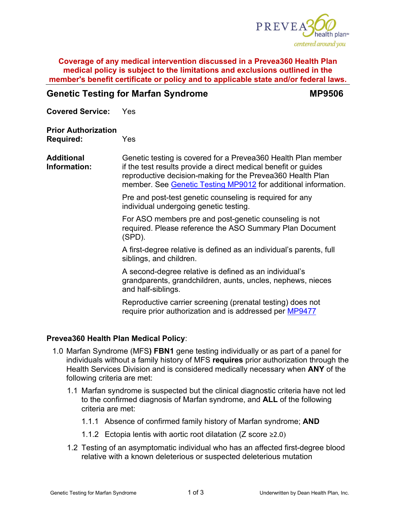

### **Coverage of any medical intervention discussed in a Prevea360 Health Plan medical policy is subject to the limitations and exclusions outlined in the member's benefit certificate or policy and to applicable state and/or federal laws.**

# **Genetic Testing for Marfan Syndrome <b>MP9506**

**Covered Service:** Yes

## **Prior Authorization Required:** Yes

**Additional Information:** Genetic testing is covered for a Prevea360 Health Plan member if the test results provide a direct medical benefit or guides reproductive decision-making for the Prevea360 Health Plan member. See [Genetic Testing MP9012](https://www.prevea360.com/Document-Library/PDF/Medical-Policies/Genetic-Testing-9012.aspx) for additional information.

> Pre and post-test genetic counseling is required for any individual undergoing genetic testing.

For ASO members pre and post-genetic counseling is not required. Please reference the ASO Summary Plan Document (SPD).

A first-degree relative is defined as an individual's parents, full siblings, and children.

A second-degree relative is defined as an individual's grandparents, grandchildren, aunts, uncles, nephews, nieces and half-siblings.

Reproductive carrier screening (prenatal testing) does not require prior authorization and is addressed per [MP9477](https://www.prevea360.com/Document-Library/PDF/Medical-Policies/Genetic-Testing-Reproductive-Carrier-Screen-9477.aspx)

# **Prevea360 Health Plan Medical Policy**:

- 1.0 Marfan Syndrome (MFS**) FBN1** gene testing individually or as part of a panel for individuals without a family history of MFS **requires** prior authorization through the Health Services Division and is considered medically necessary when **ANY** of the following criteria are met:
	- 1.1 Marfan syndrome is suspected but the clinical diagnostic criteria have not led to the confirmed diagnosis of Marfan syndrome, and **ALL** of the following criteria are met:
		- 1.1.1 Absence of confirmed family history of Marfan syndrome; **AND**
		- 1.1.2 Ectopia lentis with aortic root dilatation (Z score ≥2.0)
	- 1.2 Testing of an asymptomatic individual who has an affected first-degree blood relative with a known deleterious or suspected deleterious mutation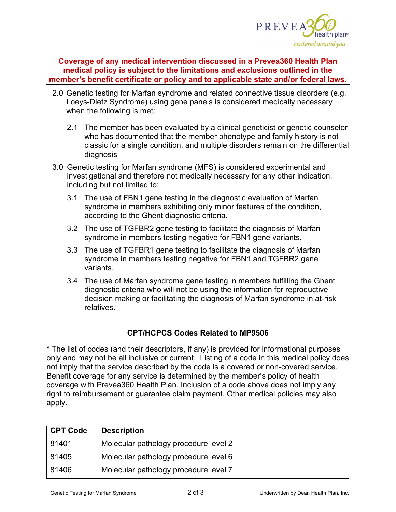

## **Coverage of any medical intervention discussed in a Prevea360 Health Plan medical policy is subject to the limitations and exclusions outlined in the member's benefit certificate or policy and to applicable state and/or federal laws.**

- 2.0 Genetic testing for Marfan syndrome and related connective tissue disorders (e.g. Loeys-Dietz Syndrome) using gene panels is considered medically necessary when the following is met:
	- 2.1 The member has been evaluated by a clinical geneticist or genetic counselor who has documented that the member phenotype and family history is not classic for a single condition, and multiple disorders remain on the differential diagnosis
- 3.0 Genetic testing for Marfan syndrome (MFS) is considered experimental and investigational and therefore not medically necessary for any other indication, including but not limited to:
	- 3.1 The use of FBN1 gene testing in the diagnostic evaluation of Marfan syndrome in members exhibiting only minor features of the condition, according to the Ghent diagnostic criteria.
	- 3.2 The use of TGFBR2 gene testing to facilitate the diagnosis of Marfan syndrome in members testing negative for FBN1 gene variants.
	- 3.3 The use of TGFBR1 gene testing to facilitate the diagnosis of Marfan syndrome in members testing negative for FBN1 and TGFBR2 gene variants.
	- 3.4 The use of Marfan syndrome gene testing in members fulfilling the Ghent diagnostic criteria who will not be using the information for reproductive decision making or facilitating the diagnosis of Marfan syndrome in at-risk relatives.

# **CPT/HCPCS Codes Related to MP9506**

\* The list of codes (and their descriptors, if any) is provided for informational purposes only and may not be all inclusive or current. Listing of a code in this medical policy does not imply that the service described by the code is a covered or non-covered service. Benefit coverage for any service is determined by the member's policy of health coverage with Prevea360 Health Plan. Inclusion of a code above does not imply any right to reimbursement or guarantee claim payment. Other medical policies may also apply.

| <b>CPT Code</b> | <b>Description</b>                    |
|-----------------|---------------------------------------|
| 81401           | Molecular pathology procedure level 2 |
| 81405           | Molecular pathology procedure level 6 |
| 81406           | Molecular pathology procedure level 7 |